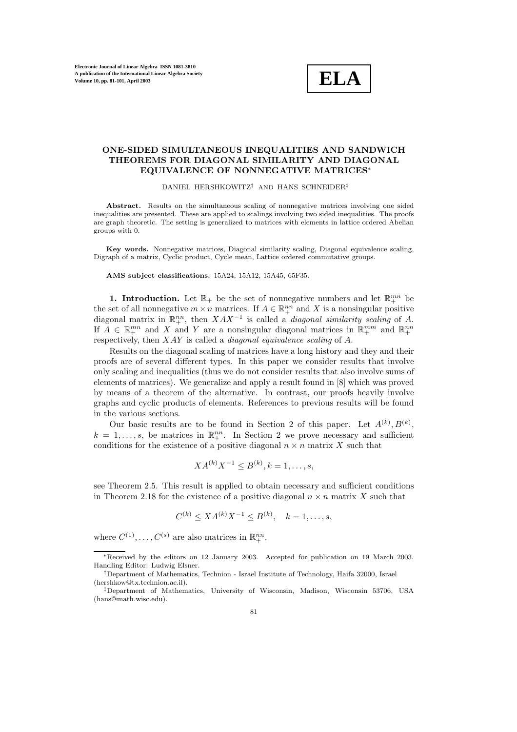

## **ONE-SIDED SIMULTANEOUS INEQUALITIES AND SANDWICH THEOREMS FOR DIAGONAL SIMILARITY AND DIAGONAL EQUIVALENCE OF NONNEGATIVE MATRICES**∗

DANIEL HERSHKOWITZ† AND HANS SCHNEIDER‡

**Abstract.** Results on the simultaneous scaling of nonnegative matrices involving one sided inequalities are presented. These are applied to scalings involving two sided inequalities. The proofs are graph theoretic. The setting is generalized to matrices with elements in lattice ordered Abelian groups with 0.

**Key words.** Nonnegative matrices, Diagonal similarity scaling, Diagonal equivalence scaling, Digraph of a matrix, Cyclic product, Cycle mean, Lattice ordered commutative groups.

**AMS subject classifications.** 15A24, 15A12, 15A45, 65F35.

**1. Introduction.** Let  $\mathbb{R}_+$  be the set of nonnegative numbers and let  $\mathbb{R}_+^{mn}$  be the set of all nonnegative  $m \times n$  matrices. If  $A \in \mathbb{R}^{nn}_{+}$  and X is a nonsingular positive diagonal matrix in  $\mathbb{R}^{nn}_+$ , then  $XAX^{-1}$  is called a *diagonal similarity scaling* of A. If  $\tilde{A} \in \mathbb{R}^{mn}_+$  and X and Y are a nonsingular diagonal matrices in  $\mathbb{R}^{mn}_+$  and  $\mathbb{R}^{nn}_+$ respectively, then XAY is called a *diagonal equivalence scaling* of A.

Results on the diagonal scaling of matrices have a long history and they and their proofs are of several different types. In this paper we consider results that involve only scaling and inequalities (thus we do not consider results that also involve sums of elements of matrices). We generalize and apply a result found in [8] which was proved by means of a theorem of the alternative. In contrast, our proofs heavily involve graphs and cyclic products of elements. References to previous results will be found in the various sections.

Our basic results are to be found in Section 2 of this paper. Let  $A^{(k)}, B^{(k)}$ ,  $k = 1, \ldots, s$ , be matrices in  $\mathbb{R}^{nn}_{+}$ . In Section 2 we prove necessary and sufficient conditions for the existence of a positive diagonal  $n \times n$  matrix X such that

$$
XA^{(k)}X^{-1} \le B^{(k)}, k = 1, \ldots, s,
$$

see Theorem 2.5. This result is applied to obtain necessary and sufficient conditions in Theorem 2.18 for the existence of a positive diagonal  $n \times n$  matrix X such that

$$
C^{(k)} \le X A^{(k)} X^{-1} \le B^{(k)}, \quad k = 1, \dots, s,
$$

where  $C^{(1)}, \ldots, C^{(s)}$  are also matrices in  $\mathbb{R}^{nn}_{+}$ .

<sup>\*</sup>Received by the editors on 12 January 2003. Accepted for publication on 19 March 2003. Handling Editor: Ludwig Elsner.

<sup>†</sup>Department of Mathematics, Technion - Israel Institute of Technology, Haifa 32000, Israel (hershkow@tx.technion.ac.il).

<sup>‡</sup>Department of Mathematics, University of Wisconsin, Madison, Wisconsin 53706, USA (hans@math.wisc.edu).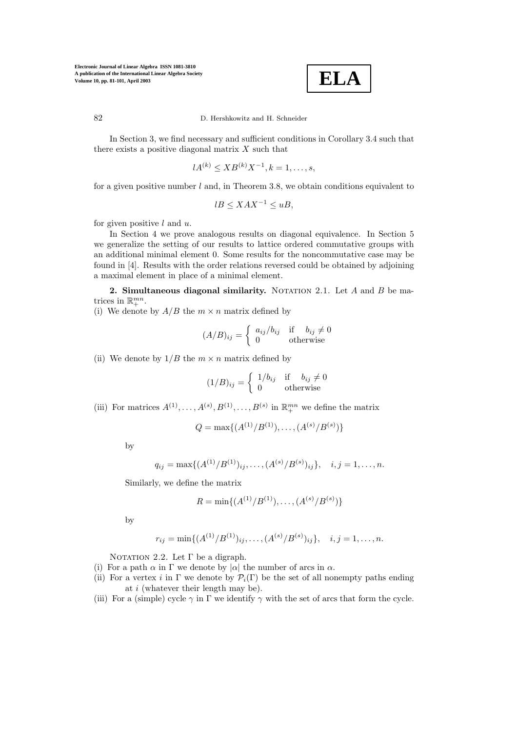

In Section 3, we find necessary and sufficient conditions in Corollary 3.4 such that there exists a positive diagonal matrix  $X$  such that

$$
lA^{(k)} \leq XB^{(k)}X^{-1}, k = 1, \dots, s,
$$

for a given positive number  $l$  and, in Theorem 3.8, we obtain conditions equivalent to

$$
lB \leq XAX^{-1} \leq uB,
$$

for given positive  $l$  and  $u$ .

In Section 4 we prove analogous results on diagonal equivalence. In Section 5 we generalize the setting of our results to lattice ordered commutative groups with an additional minimal element 0. Some results for the noncommutative case may be found in [4]. Results with the order relations reversed could be obtained by adjoining a maximal element in place of a minimal element.

**2. Simultaneous diagonal similarity.** NOTATION 2.1. Let A and B be matrices in  $\mathbb{R}^{mn}_+$ .

(i) We denote by  $A/B$  the  $m \times n$  matrix defined by

$$
(A/B)_{ij} = \begin{cases} a_{ij}/b_{ij} & \text{if } b_{ij} \neq 0\\ 0 & \text{otherwise} \end{cases}
$$

(ii) We denote by  $1/B$  the  $m \times n$  matrix defined by

$$
(1/B)_{ij} = \begin{cases} 1/b_{ij} & \text{if } b_{ij} \neq 0\\ 0 & \text{otherwise} \end{cases}
$$

(iii) For matrices  $A^{(1)}, \ldots, A^{(s)}, B^{(1)}, \ldots, B^{(s)}$  in  $\mathbb{R}^{mn}_+$  we define the matrix

$$
Q = \max\{(A^{(1)}/B^{(1)}), \ldots, (A^{(s)}/B^{(s)})\}
$$

by

$$
q_{ij} = \max\{(A^{(1)}/B^{(1)})_{ij}, \ldots, (A^{(s)}/B^{(s)})_{ij}\}, \quad i, j = 1, \ldots, n.
$$

Similarly, we define the matrix

$$
R = \min\{(A^{(1)}/B^{(1)}), \dots, (A^{(s)}/B^{(s)})\}
$$

by

$$
r_{ij} = \min\{(A^{(1)}/B^{(1)})_{ij}, \ldots, (A^{(s)}/B^{(s)})_{ij}\}, \quad i, j = 1, \ldots, n.
$$

NOTATION 2.2. Let  $\Gamma$  be a digraph.

- (i) For a path  $\alpha$  in  $\Gamma$  we denote by  $|\alpha|$  the number of arcs in  $\alpha$ .
- (ii) For a vertex i in  $\Gamma$  we denote by  $\mathcal{P}_i(\Gamma)$  be the set of all nonempty paths ending at i (whatever their length may be).
- (iii) For a (simple) cycle  $\gamma$  in  $\Gamma$  we identify  $\gamma$  with the set of arcs that form the cycle.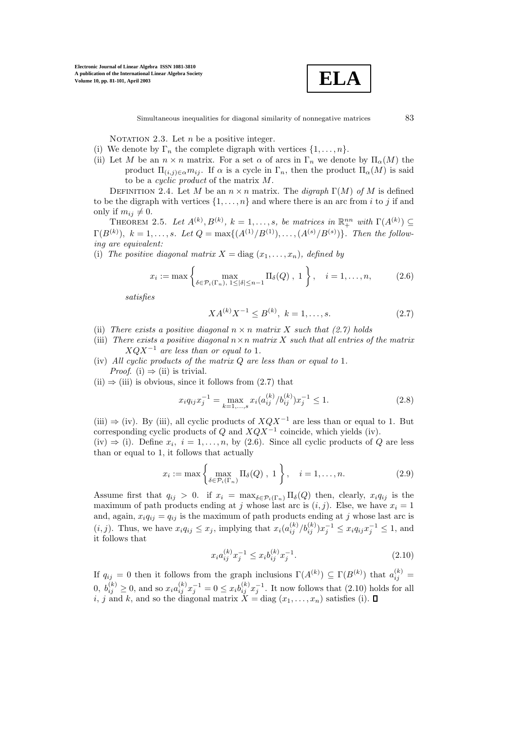

NOTATION 2.3. Let  $n$  be a positive integer.

- (i) We denote by  $\Gamma_n$  the complete digraph with vertices  $\{1,\ldots,n\}$ .
- (ii) Let M be an  $n \times n$  matrix. For a set  $\alpha$  of arcs in  $\Gamma_n$  we denote by  $\Pi_{\alpha}(M)$  the product  $\Pi_{(i,j)\in\alpha}m_{ij}$ . If  $\alpha$  is a cycle in  $\Gamma_n$ , then the product  $\Pi_{\alpha}(M)$  is said to be a cyclic product of the matrix M.

DEFINITION 2.4. Let M be an  $n \times n$  matrix. The *digraph*  $\Gamma(M)$  of M is defined to be the digraph with vertices  $\{1,\ldots,n\}$  and where there is an arc from i to j if and only if  $m_{ii} \neq 0$ .

THEOREM 2.5. Let  $A^{(k)}, B^{(k)}, k = 1, \ldots, s$ , be matrices in  $\mathbb{R}^{nn}_+$  with  $\Gamma(A^{(k)}) \subseteq$  $\Gamma(B^{(k)}), k = 1, \ldots, s.$  Let  $Q = \max\{(A^{(1)}/B^{(1)}), \ldots, (A^{(s)}/B^{(s)})\}.$  Then the following are equivalent:

(i) The positive diagonal matrix  $X = \text{diag}(x_1, \ldots, x_n)$ , defined by

$$
x_i := \max\left\{\max_{\delta \in \mathcal{P}_i(\Gamma_n), 1 \leq |\delta| \leq n-1} \Pi_{\delta}(Q), 1\right\}, \quad i = 1, \dots, n,
$$
 (2.6)

satisfies

$$
XA^{(k)}X^{-1} \le B^{(k)}, \ k = 1, \dots, s. \tag{2.7}
$$

- (ii) There exists a positive diagonal  $n \times n$  matrix X such that (2.7) holds
- (iii) There exists a positive diagonal  $n \times n$  matrix X such that all entries of the matrix  $XQX^{-1}$  are less than or equal to 1.
- (iv) All cyclic products of the matrix Q are less than or equal to 1. *Proof.* (i)  $\Rightarrow$  (ii) is trivial.
- $(ii) \Rightarrow (iii)$  is obvious, since it follows from  $(2.7)$  that

$$
x_i q_{ij} x_j^{-1} = \max_{k=1,\dots,s} x_i (a_{ij}^{(k)}/b_{ij}^{(k)}) x_j^{-1} \le 1.
$$
 (2.8)

(iii)  $\Rightarrow$  (iv). By (iii), all cyclic products of  $XQX^{-1}$  are less than or equal to 1. But corresponding cyclic products of  $Q$  and  $XQX^{-1}$  coincide, which yields (iv).

(iv)  $\Rightarrow$  (i). Define  $x_i$ ,  $i = 1, ..., n$ , by (2.6). Since all cyclic products of Q are less than or equal to 1, it follows that actually

$$
x_i := \max\left\{\max_{\delta \in \mathcal{P}_i(\Gamma_n)} \Pi_{\delta}(Q), 1\right\}, \quad i = 1, \dots, n. \tag{2.9}
$$

Assume first that  $q_{ij} > 0$ . if  $x_i = \max_{\delta \in \mathcal{P}_i(\Gamma_n)} \Pi_{\delta}(Q)$  then, clearly,  $x_i q_{ij}$  is the maximum of path products ending at j whose last arc is  $(i, j)$ . Else, we have  $x_i = 1$ and, again,  $x_i q_{ij} = q_{ij}$  is the maximum of path products ending at j whose last arc is  $(i, j)$ . Thus, we have  $x_i q_{ij} \leq x_j$ , implying that  $x_i (a_{ij}^{(k)}/b_{ij}^{(k)}) x_j^{-1} \leq x_i q_{ij} x_j^{-1} \leq 1$ , and it follows that

$$
x_i a_{ij}^{(k)} x_j^{-1} \le x_i b_{ij}^{(k)} x_j^{-1}.
$$
\n(2.10)

If  $q_{ij} = 0$  then it follows from the graph inclusions  $\Gamma(A^{(k)}) \subseteq \Gamma(B^{(k)})$  that  $a_{ij}^{(k)} =$  $(0, b_{ij}^{(k)} \ge 0, \text{ and so } x_i a_{ij}^{(k)} x_j^{-1} = 0 \le x_i b_{ij}^{(k)} x_j^{-1}.$  It now follows that  $(2.10)$  holds for all i, j and k, and so the diagonal matrix  $X = diag(x_1, \ldots, x_n)$  satisfies (i).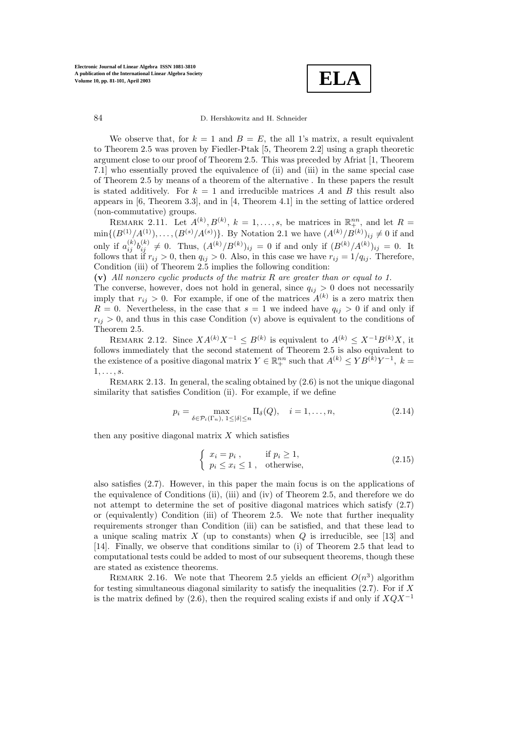**ELA**

We observe that, for  $k = 1$  and  $B = E$ , the all 1's matrix, a result equivalent to Theorem 2.5 was proven by Fiedler-Ptak [5, Theorem 2.2] using a graph theoretic argument close to our proof of Theorem 2.5. This was preceded by Afriat [1, Theorem 7.1] who essentially proved the equivalence of (ii) and (iii) in the same special case of Theorem 2.5 by means of a theorem of the alternative . In these papers the result is stated additively. For  $k = 1$  and irreducible matrices A and B this result also appears in [6, Theorem 3.3], and in [4, Theorem 4.1] in the setting of lattice ordered (non-commutative) groups.

REMARK 2.11. Let  $A^{(k)}, B^{(k)}, k = 1, \ldots, s$ , be matrices in  $\mathbb{R}^{nn}_{+}$ , and let  $R =$  $\min\{(B^{(1)}/A^{(1)}),\ldots,(B^{(s)}/A^{(s)})\}$ . By Notation 2.1 we have  $(A^{(k)}/B^{(k)})_{ij}\neq 0$  if and only if  $a_{ij}^{(k)}b_{ij}^{(k)} \neq 0$ . Thus,  $(A^{(k)}/B^{(k)})_{ij} = 0$  if and only if  $(B^{(k)}/A^{(k)})_{ij} = 0$ . It follows that if  $r_{ij} > 0$ , then  $q_{ij} > 0$ . Also, in this case we have  $r_{ij} = 1/q_{ij}$ . Therefore, Condition (iii) of Theorem 2.5 implies the following condition:

**(v)** All nonzero cyclic products of the matrix R are greater than or equal to 1.

The converse, however, does not hold in general, since  $q_{ij} > 0$  does not necessarily imply that  $r_{ij} > 0$ . For example, if one of the matrices  $A^{(k)}$  is a zero matrix then  $R = 0$ . Nevertheless, in the case that  $s = 1$  we indeed have  $q_{ij} > 0$  if and only if  $r_{ij} > 0$ , and thus in this case Condition (v) above is equivalent to the conditions of Theorem 2.5.

REMARK 2.12. Since  $XA^{(k)}X^{-1} \leq B^{(k)}$  is equivalent to  $A^{(k)} \leq X^{-1}B^{(k)}X$ , it follows immediately that the second statement of Theorem 2.5 is also equivalent to the existence of a positive diagonal matrix  $Y \in \mathbb{R}^{nn}_{+}$  such that  $A^{(k)} \leq Y B^{(k)} Y^{-1}$ ,  $k =$  $1, \ldots, s$ .

REMARK 2.13. In general, the scaling obtained by  $(2.6)$  is not the unique diagonal similarity that satisfies Condition (ii). For example, if we define

$$
p_i = \max_{\delta \in \mathcal{P}_i(\Gamma_n), 1 \le |\delta| \le n} \Pi_{\delta}(Q), \quad i = 1, \dots, n,
$$
\n(2.14)

then any positive diagonal matrix  $X$  which satisfies

$$
\begin{cases}\n x_i = p_i, & \text{if } p_i \ge 1, \\
p_i \le x_i \le 1, & \text{otherwise,} \n\end{cases}
$$
\n(2.15)

also satisfies (2.7). However, in this paper the main focus is on the applications of the equivalence of Conditions (ii), (iii) and (iv) of Theorem 2.5, and therefore we do not attempt to determine the set of positive diagonal matrices which satisfy (2.7) or (equivalently) Condition (iii) of Theorem 2.5. We note that further inequality requirements stronger than Condition (iii) can be satisfied, and that these lead to a unique scaling matrix X (up to constants) when  $Q$  is irreducible, see [13] and [14]. Finally, we observe that conditions similar to (i) of Theorem 2.5 that lead to computational tests could be added to most of our subsequent theorems, though these are stated as existence theorems.

REMARK 2.16. We note that Theorem 2.5 yields an efficient  $O(n^3)$  algorithm for testing simultaneous diagonal similarity to satisfy the inequalities  $(2.7)$ . For if X is the matrix defined by (2.6), then the required scaling exists if and only if  $XQX^{-1}$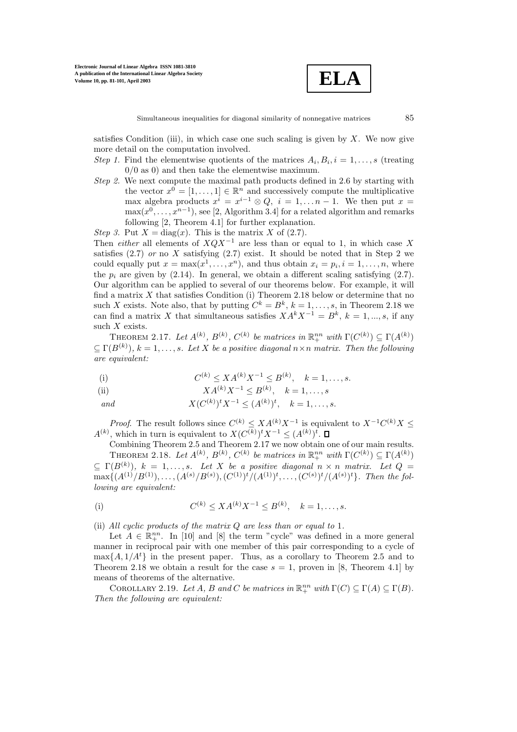

satisfies Condition (iii), in which case one such scaling is given by  $X$ . We now give more detail on the computation involved.

- Step 1. Find the elementwise quotients of the matrices  $A_i, B_i, i = 1, \ldots, s$  (treating 0/0 as 0) and then take the elementwise maximum.
- Step 2. We next compute the maximal path products defined in 2.6 by starting with the vector  $x^0 = [1, \ldots, 1] \in \mathbb{R}^n$  and successively compute the multiplicative max algebra products  $x^i = x^{i-1} \otimes Q$ ,  $i = 1,..., n-1$ . We then put  $x =$  $\max(x^0,\ldots,x^{n-1})$ , see [2, Algorithm 3.4] for a related algorithm and remarks following [2, Theorem 4.1] for further explanation.

Step 3. Put  $X = diag(x)$ . This is the matrix X of (2.7).

Then *either* all elements of  $XQX^{-1}$  are less than or equal to 1, in which case X satisfies  $(2.7)$  or no X satisfying  $(2.7)$  exist. It should be noted that in Step 2 we could equally put  $x = \max(x^1, \ldots, x^n)$ , and thus obtain  $x_i = p_i, i = 1, \ldots, n$ , where the  $p_i$  are given by (2.14). In general, we obtain a different scaling satisfying (2.7). Our algorithm can be applied to several of our theorems below. For example, it will find a matrix  $X$  that satisfies Condition (i) Theorem 2.18 below or determine that no such X exists. Note also, that by putting  $C^k = B^k$ ,  $k = 1, \ldots, s$ , in Theorem 2.18 we can find a matrix X that simultaneous satisfies  $XA^{k}X^{-1} = B^{k}$ ,  $k = 1, ..., s$ , if any such  $X$  exists.

THEOREM 2.17. Let  $A^{(k)}$ ,  $B^{(k)}$ ,  $C^{(k)}$  be matrices in  $\mathbb{R}^{nn}_{+}$  with  $\Gamma(C^{(k)}) \subseteq \Gamma(A^{(k)})$  $\subset \Gamma(B^{(k)}), k = 1, \ldots, s$ . Let X be a positive diagonal  $n \times n$  matrix. Then the following are equivalent:

(i) 
$$
C^{(k)} \le X A^{(k)} X^{-1} \le B^{(k)}, \quad k = 1, ..., s.
$$

(ii) 
$$
XA^{(k)}X^{-1} \leq B^{(k)}, \quad k = 1, ..., s
$$

and  $X(C^{(k)})^t X^{-1} \leq (A^{(k)})^t, \quad k = 1, \ldots, s.$ 

*Proof.* The result follows since  $C^{(k)} \leq X A^{(k)} X^{-1}$  is equivalent to  $X^{-1} C^{(k)} X \leq$  $A^{(k)}$ , which in turn is equivalent to  $X(C^{(k)})^t X^{-1} \leq (A^{(k)})^t$ .

Combining Theorem 2.5 and Theorem 2.17 we now obtain one of our main results. THEOREM 2.18. Let  $A^{(k)}$ ,  $B^{(k)}$ ,  $C^{(k)}$  be matrices in  $\mathbb{R}^{nn}_{+}$  with  $\Gamma(C^{(k)}) \subseteq \Gamma(A^{(k)})$  $\subseteq \Gamma(B^{(k)}), k = 1, \ldots, s$ . Let X be a positive diagonal  $n \times n$  matrix. Let  $Q =$  $\max\{(A^{(1)}/B^{(1)}), \ldots, (A^{(s)}/B^{(s)}), (C^{(1)})^t/(A^{(1)})^t, \ldots, (C^{(s)})^t/(A^{(s)})^t\}.$  Then the following are equivalent:

(i) 
$$
C^{(k)} \le X A^{(k)} X^{-1} \le B^{(k)}, \quad k = 1, ..., s.
$$

(ii) All cyclic products of the matrix  $Q$  are less than or equal to 1.

Let  $A \in \mathbb{R}^{nn}_{+}$ . In [10] and [8] the term "cycle" was defined in a more general manner in reciprocal pair with one member of this pair corresponding to a cycle of  $\max\{A, 1/A^t\}$  in the present paper. Thus, as a corollary to Theorem 2.5 and to Theorem 2.18 we obtain a result for the case  $s = 1$ , proven in [8, Theorem 4.1] by means of theorems of the alternative.

COROLLARY 2.19. Let A, B and C be matrices in  $\mathbb{R}^{nn}_{+}$  with  $\Gamma(C) \subseteq \Gamma(A) \subseteq \Gamma(B)$ . Then the following are equivalent: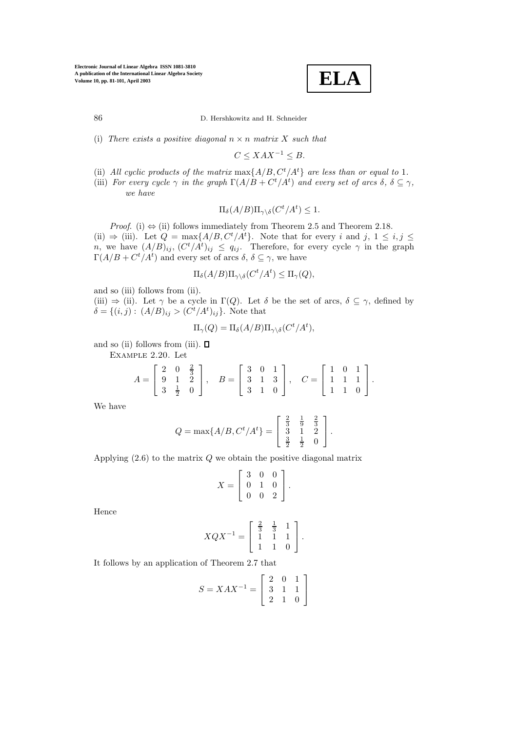**ELA**

(i) There exists a positive diagonal  $n \times n$  matrix X such that

 $C \leq XAX^{-1} \leq B$ .

- (ii) All cyclic products of the matrix  $\max\{A/B, C^t/A^t\}$  are less than or equal to 1.
- (iii) For every cycle  $\gamma$  in the graph  $\Gamma(A/B + C^t/A^t)$  and every set of arcs  $\delta, \delta \subseteq \gamma$ , we have

$$
\Pi_{\delta}(A/B)\Pi_{\gamma\backslash \delta}(C^t/A^t)\leq 1.
$$

*Proof.* (i)  $\Leftrightarrow$  (ii) follows immediately from Theorem 2.5 and Theorem 2.18. (ii)  $\Rightarrow$  (iii). Let  $Q = \max\{A/B, C^t/A^t\}$ . Note that for every i and j,  $1 \le i, j \le i$ n, we have  $(A/B)_{ij}$ ,  $(C^t/A^t)_{ij} \leq q_{ij}$ . Therefore, for every cycle  $\gamma$  in the graph  $\Gamma(A/B + C^t/A^t)$  and every set of arcs  $\delta, \delta \subseteq \gamma$ , we have

$$
\Pi_{\delta}(A/B)\Pi_{\gamma\backslash\delta}(C^t/A^t)\leq \Pi_{\gamma}(Q),
$$

and so (iii) follows from (ii).

(iii)  $\Rightarrow$  (ii). Let  $\gamma$  be a cycle in  $\Gamma(Q)$ . Let  $\delta$  be the set of arcs,  $\delta \subseteq \gamma$ , defined by  $\delta = \{(i, j): (A/B)_{ij} > (C^t/A^t)_{ij}\}.$  Note that

$$
\Pi_\gamma(Q)=\Pi_\delta(A/B)\Pi_{\gamma\backslash\delta}(C^t/A^t),
$$

and so (ii) follows from (iii).  $\blacksquare$ 

Example 2.20. Let

$$
A = \begin{bmatrix} 2 & 0 & \frac{2}{3} \\ 9 & 1 & 2 \\ 3 & \frac{1}{2} & 0 \end{bmatrix}, \quad B = \begin{bmatrix} 3 & 0 & 1 \\ 3 & 1 & 3 \\ 3 & 1 & 0 \end{bmatrix}, \quad C = \begin{bmatrix} 1 & 0 & 1 \\ 1 & 1 & 1 \\ 1 & 1 & 0 \end{bmatrix}.
$$

We have

$$
Q = \max\{A/B, C^t/A^t\} = \begin{bmatrix} \frac{2}{3} & \frac{1}{9} & \frac{2}{3} \\ 3 & 1 & 2 \\ \frac{3}{2} & \frac{1}{2} & 0 \end{bmatrix}.
$$

Applying  $(2.6)$  to the matrix  $Q$  we obtain the positive diagonal matrix

$$
X = \left[ \begin{array}{rrr} 3 & 0 & 0 \\ 0 & 1 & 0 \\ 0 & 0 & 2 \end{array} \right].
$$

Hence

$$
XQX^{-1} = \left[ \begin{array}{rrr} \frac{2}{3} & \frac{1}{3} & 1 \\ 1 & 1 & 1 \\ 1 & 1 & 0 \end{array} \right].
$$

It follows by an application of Theorem 2.7 that

$$
S = XAX^{-1} = \left[ \begin{array}{rrr} 2 & 0 & 1 \\ 3 & 1 & 1 \\ 2 & 1 & 0 \end{array} \right]
$$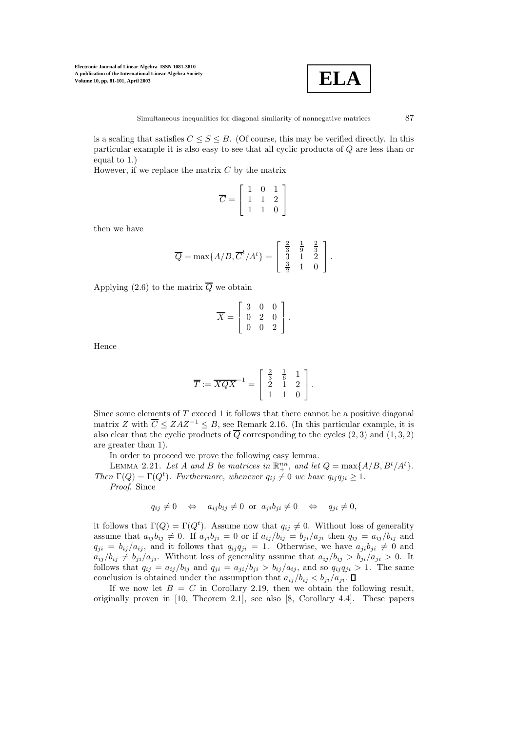

is a scaling that satisfies  $C \leq S \leq B$ . (Of course, this may be verified directly. In this particular example it is also easy to see that all cyclic products of Q are less than or equal to 1.)

However, if we replace the matrix  $C$  by the matrix

$$
\overline{C} = \left[\begin{array}{ccc} 1 & 0 & 1 \\ 1 & 1 & 2 \\ 1 & 1 & 0 \end{array}\right]
$$

then we have

$$
\overline{Q} = \max\{A/B, \overline{C}^t/A^t\} = \begin{bmatrix} \frac{2}{3} & \frac{1}{9} & \frac{2}{3} \\ 3 & 1 & 2 \\ \frac{3}{2} & 1 & 0 \end{bmatrix}.
$$

Applying (2.6) to the matrix  $\overline{Q}$  we obtain

$$
\overline{X} = \left[ \begin{array}{ccc} 3 & 0 & 0 \\ 0 & 2 & 0 \\ 0 & 0 & 2 \end{array} \right].
$$

Hence

$$
\overline{T} := \overline{XQX}^{-1} = \left[\begin{array}{ccc} \frac{2}{3} & \frac{1}{6} & 1 \\ 2 & 1 & 2 \\ 1 & 1 & 0 \end{array}\right].
$$

Since some elements of  $T$  exceed 1 it follows that there cannot be a positive diagonal matrix Z with  $\overline{C} \leq ZAZ^{-1} \leq B$ , see Remark 2.16. (In this particular example, it is also clear that the cyclic products of  $\overline{Q}$  corresponding to the cycles (2, 3) and (1, 3, 2) are greater than 1).

In order to proceed we prove the following easy lemma.

LEMMA 2.21. Let A and B be matrices in  $\mathbb{R}^{nn}_+$ , and let  $Q = \max\{A/B, B^t/A^t\}$ . Then  $\Gamma(Q) = \Gamma(Q^t)$ . Furthermore, whenever  $q_{ij} \neq 0$  we have  $q_{ij} q_{ji} \geq 1$ . Proof. Since

$$
q_{ij} \neq 0 \Leftrightarrow a_{ij}b_{ij} \neq 0 \text{ or } a_{ji}b_{ji} \neq 0 \Leftrightarrow q_{ji} \neq 0,
$$

it follows that  $\Gamma(Q) = \Gamma(Q^t)$ . Assume now that  $q_{ij} \neq 0$ . Without loss of generality assume that  $a_{ij}b_{ij} \neq 0$ . If  $a_{ji}b_{ji} = 0$  or if  $a_{ij}/b_{ij} = b_{ji}/a_{ji}$  then  $q_{ij} = a_{ij}/b_{ij}$  and  $q_{ji} = b_{ij}/a_{ij}$ , and it follows that  $q_{ij} q_{ji} = 1$ . Otherwise, we have  $a_{ji} b_{ji} \neq 0$  and  $a_{ij}/b_{ij} \neq b_{ji}/a_{ji}$ . Without loss of generality assume that  $a_{ij}/b_{ij} > b_{ji}/a_{ji} > 0$ . It follows that  $q_{ij} = a_{ij}/b_{ij}$  and  $q_{ji} = a_{ji}/b_{ji} > b_{ij}/a_{ij}$ , and so  $q_{ij}q_{ji} > 1$ . The same conclusion is obtained under the assumption that  $a_{ij}/b_{ij} < b_{ji}/a_{ji}$ .  $\Box$ 

If we now let  $B = C$  in Corollary 2.19, then we obtain the following result, originally proven in [10, Theorem 2.1], see also [8, Corollary 4.4]. These papers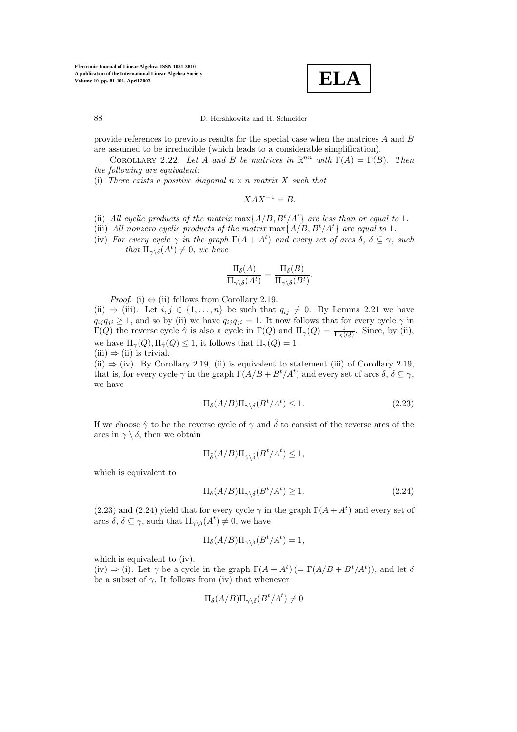**ELA**

provide references to previous results for the special case when the matrices A and B are assumed to be irreducible (which leads to a considerable simplification).

COROLLARY 2.22. Let A and B be matrices in  $\mathbb{R}^{nn}_{+}$  with  $\Gamma(A) = \Gamma(B)$ . Then the following are equivalent:

(i) There exists a positive diagonal  $n \times n$  matrix X such that

$$
XAX^{-1} = B.
$$

- (ii) All cyclic products of the matrix  $\max\{A/B, B^t/A^t\}$  are less than or equal to 1.
- (iii) All nonzero cyclic products of the matrix  $\max\{A/B, B^t/A^t\}$  are equal to 1.
- (iv) For every cycle  $\gamma$  in the graph  $\Gamma(A + A^t)$  and every set of arcs  $\delta, \delta \subseteq \gamma$ , such that  $\Pi_{\gamma \setminus \delta}(A^t) \neq 0$ , we have

$$
\frac{\Pi_{\delta}(A)}{\Pi_{\gamma\backslash\delta}(A^t)} = \frac{\Pi_{\delta}(B)}{\Pi_{\gamma\backslash\delta}(B^t)}.
$$

*Proof.* (i)  $\Leftrightarrow$  (ii) follows from Corollary 2.19.

(ii)  $\Rightarrow$  (iii). Let  $i, j \in \{1, ..., n\}$  be such that  $q_{ij} \neq 0$ . By Lemma 2.21 we have  $q_{ij} q_{ji} \geq 1$ , and so by (ii) we have  $q_{ij} q_{ji} = 1$ . It now follows that for every cycle  $\gamma$  in  $\Gamma(Q)$  the reverse cycle  $\hat{\gamma}$  is also a cycle in  $\Gamma(Q)$  and  $\Pi_{\gamma}(Q) = \frac{1}{\Pi_{\hat{\gamma}}(Q)}$ . Since, by (ii), we have  $\Pi_{\gamma}(Q), \Pi_{\hat{\gamma}}(Q) \leq 1$ , it follows that  $\Pi_{\gamma}(Q) = 1$ .

(iii) 
$$
\Rightarrow
$$
 (ii) is trivial.

(ii)  $\Rightarrow$  (iv). By Corollary 2.19, (ii) is equivalent to statement (iii) of Corollary 2.19, that is, for every cycle  $\gamma$  in the graph  $\Gamma(A/B + B^t/A^t)$  and every set of arcs  $\delta, \delta \subseteq \gamma$ , we have

$$
\Pi_{\delta}(A/B)\Pi_{\gamma\backslash\delta}(B^t/A^t) \le 1. \tag{2.23}
$$

If we choose  $\hat{\gamma}$  to be the reverse cycle of  $\gamma$  and  $\hat{\delta}$  to consist of the reverse arcs of the arcs in  $\gamma \setminus \delta$ , then we obtain

$$
\Pi_{\hat{\delta}}(A/B)\Pi_{\hat{\gamma}\backslash \hat{\delta}}(B^t/A^t)\leq 1,
$$

which is equivalent to

$$
\Pi_{\delta}(A/B)\Pi_{\gamma\backslash\delta}(B^t/A^t) \ge 1. \tag{2.24}
$$

(2.23) and (2.24) yield that for every cycle  $\gamma$  in the graph  $\Gamma(A + A^t)$  and every set of arcs  $\delta, \delta \subseteq \gamma$ , such that  $\Pi_{\gamma \setminus \delta}(A^t) \neq 0$ , we have

$$
\Pi_{\delta}(A/B)\Pi_{\gamma\backslash\delta}(B^t/A^t)=1,
$$

which is equivalent to (iv).

(iv)  $\Rightarrow$  (i). Let  $\gamma$  be a cycle in the graph  $\Gamma(A + A^t)$  (=  $\Gamma(A/B + B^t/A^t)$ ), and let  $\delta$ be a subset of  $\gamma$ . It follows from (iv) that whenever

$$
\Pi_{\delta}(A/B)\Pi_{\gamma\backslash \delta}(B^t/A^t)\neq 0
$$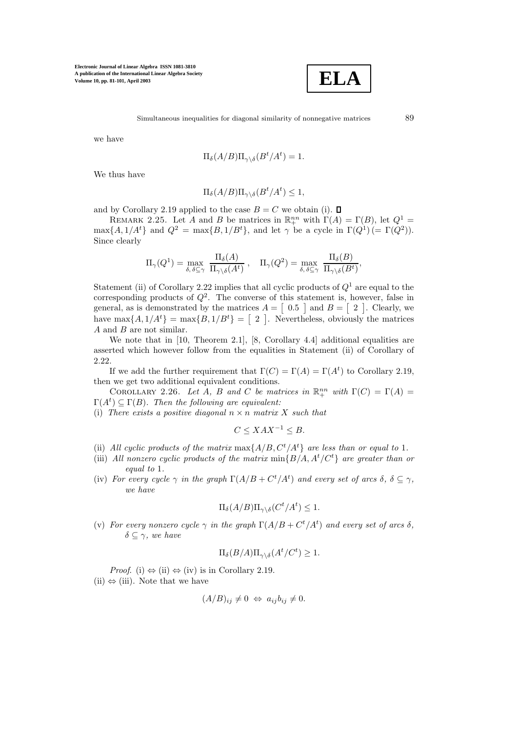

we have

$$
\Pi_{\delta}(A/B)\Pi_{\gamma\setminus\delta}(B^t/A^t)=1.
$$

We thus have

$$
\Pi_{\delta}(A/B)\Pi_{\gamma\setminus\delta}(B^t/A^t) \le 1,
$$

and by Corollary 2.19 applied to the case  $B = C$  we obtain (i).  $\square$ 

REMARK 2.25. Let A and B be matrices in  $\mathbb{R}^{nn}_{+}$  with  $\Gamma(A) = \Gamma(B)$ , let  $Q^1$  =  $\max\{A, 1/A^t\}$  and  $Q^2 = \max\{B, 1/B^t\}$ , and let  $\gamma$  be a cycle in  $\Gamma(Q^1)$  (=  $\Gamma(Q^2)$ ). Since clearly

$$
\Pi_{\gamma}(Q^1) = \max_{\delta, \delta \subseteq \gamma} \; \frac{\Pi_{\delta}(A)}{\Pi_{\gamma \setminus \delta}(A^t)} , \quad \Pi_{\gamma}(Q^2) = \max_{\delta, \delta \subseteq \gamma} \; \frac{\Pi_{\delta}(B)}{\Pi_{\gamma \setminus \delta}(B^t)},
$$

Statement (ii) of Corollary 2.22 implies that all cyclic products of  $Q<sup>1</sup>$  are equal to the corresponding products of  $Q^2$ . The converse of this statement is, however, false in general, as is demonstrated by the matrices  $A = \begin{bmatrix} 0.5 \end{bmatrix}$  and  $B = \begin{bmatrix} 2 \end{bmatrix}$ . Clearly, we have  $\max\{A, 1/A^t\} = \max\{B, 1/B^t\} = \begin{bmatrix} 2 \end{bmatrix}$ . Nevertheless, obviously the matrices A and B are not similar.

We note that in [10, Theorem 2.1], [8, Corollary 4.4] additional equalities are asserted which however follow from the equalities in Statement (ii) of Corollary of 2.22.

If we add the further requirement that  $\Gamma(C) = \Gamma(A) = \Gamma(A^t)$  to Corollary 2.19, then we get two additional equivalent conditions.

COROLLARY 2.26. Let A, B and C be matrices in  $\mathbb{R}^{nn}_{+}$  with  $\Gamma(C) = \Gamma(A) =$  $\Gamma(A^t) \subseteq \Gamma(B)$ . Then the following are equivalent:

(i) There exists a positive diagonal  $n \times n$  matrix X such that

$$
C \le XAX^{-1} \le B.
$$

- (ii) All cyclic products of the matrix  $\max\{A/B, C^t/A^t\}$  are less than or equal to 1.
- (iii) All nonzero cyclic products of the matrix  $\min\{B/A, A^t/C^t\}$  are greater than or equal to 1.
- (iv) For every cycle  $\gamma$  in the graph  $\Gamma(A/B + C^t/A^t)$  and every set of arcs  $\delta, \delta \subseteq \gamma$ , we have

$$
\Pi_{\delta}(A/B)\Pi_{\gamma\backslash \delta}(C^t/A^t)\leq 1.
$$

(v) For every nonzero cycle  $\gamma$  in the graph  $\Gamma(A/B + C^t/A^t)$  and every set of arcs  $\delta$ ,  $\delta \subseteq \gamma$ , we have

$$
\Pi_{\delta}(B/A)\Pi_{\gamma\backslash \delta}(A^t/C^t)\geq 1.
$$

*Proof.* (i)  $\Leftrightarrow$  (ii)  $\Leftrightarrow$  (iv) is in Corollary 2.19.  $(ii) \Leftrightarrow (iii)$ . Note that we have

$$
(A/B)_{ij} \neq 0 \Leftrightarrow a_{ij}b_{ij} \neq 0.
$$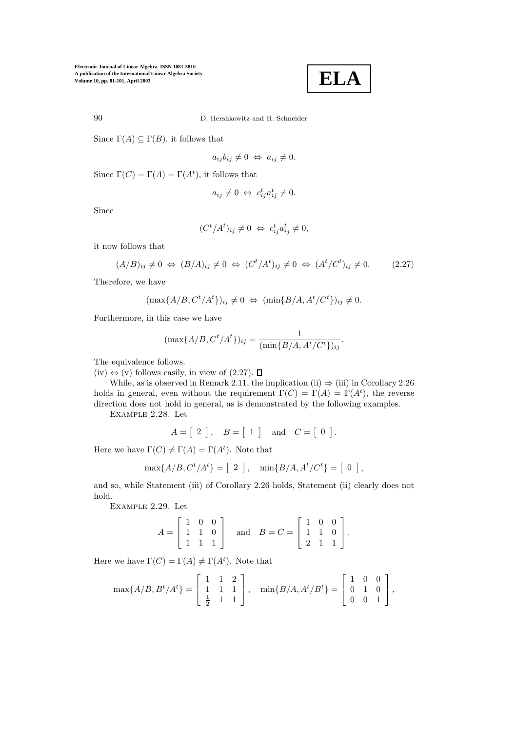$$
\boxed{\textbf{ELA}}
$$

90 D. Hershkowitz and H. Schneider

Since  $\Gamma(A) \subseteq \Gamma(B)$ , it follows that

$$
a_{ij}b_{ij}\neq 0 \Leftrightarrow a_{ij}\neq 0.
$$

Since  $\Gamma(C) = \Gamma(A) = \Gamma(A^t)$ , it follows that

$$
a_{ij} \neq 0 \Leftrightarrow c_{ij}^t a_{ij}^t \neq 0.
$$

Since

$$
(C^t/A^t)_{ij} \neq 0 \Leftrightarrow c^t_{ij}a^t_{ij} \neq 0,
$$

it now follows that

$$
(A/B)_{ij} \neq 0 \Leftrightarrow (B/A)_{ij} \neq 0 \Leftrightarrow (C^t/A^t)_{ij} \neq 0 \Leftrightarrow (A^t/C^t)_{ij} \neq 0. \tag{2.27}
$$

Therefore, we have

$$
(\max\{A/B, C^t/A^t\})_{ij} \neq 0 \Leftrightarrow (\min\{B/A, A^t/C^t\})_{ij} \neq 0.
$$

Furthermore, in this case we have

$$
(\max\{A/B, C^t/A^t\})_{ij} = \frac{1}{(\min\{B/A, A^t/C^t\})_{ij}}.
$$

The equivalence follows.

 $(iv)$  ⇔  $(v)$  follows easily, in view of  $(2.27)$ . □

While, as is observed in Remark 2.11, the implication (ii)  $\Rightarrow$  (iii) in Corollary 2.26 holds in general, even without the requirement  $\Gamma(C) = \Gamma(A) = \Gamma(A^t)$ , the reverse direction does not hold in general, as is demonstrated by the following examples.

Example 2.28. Let

 $A = \begin{bmatrix} 2 \end{bmatrix}$ ,  $B = \begin{bmatrix} 1 \end{bmatrix}$  and  $C = \begin{bmatrix} 0 \end{bmatrix}$ .

Here we have  $\Gamma(C) \neq \Gamma(A) = \Gamma(A^t)$ . Note that

$$
\max\{A/B, C^t/A^t\} = \left[\begin{array}{c}2\end{array}\right], \quad \min\{B/A, A^t/C^t\} = \left[\begin{array}{c}0\end{array}\right],
$$

and so, while Statement (iii) of Corollary 2.26 holds, Statement (ii) clearly does not hold.

Example 2.29. Let

$$
A = \begin{bmatrix} 1 & 0 & 0 \\ 1 & 1 & 0 \\ 1 & 1 & 1 \end{bmatrix} \text{ and } B = C = \begin{bmatrix} 1 & 0 & 0 \\ 1 & 1 & 0 \\ 2 & 1 & 1 \end{bmatrix}.
$$

Here we have  $\Gamma(C) = \Gamma(A) \neq \Gamma(A^t)$ . Note that

$$
\max\{A/B, B^t/A^t\} = \begin{bmatrix} 1 & 1 & 2 \\ 1 & 1 & 1 \\ \frac{1}{2} & 1 & 1 \end{bmatrix}, \quad \min\{B/A, A^t/B^t\} = \begin{bmatrix} 1 & 0 & 0 \\ 0 & 1 & 0 \\ 0 & 0 & 1 \end{bmatrix},
$$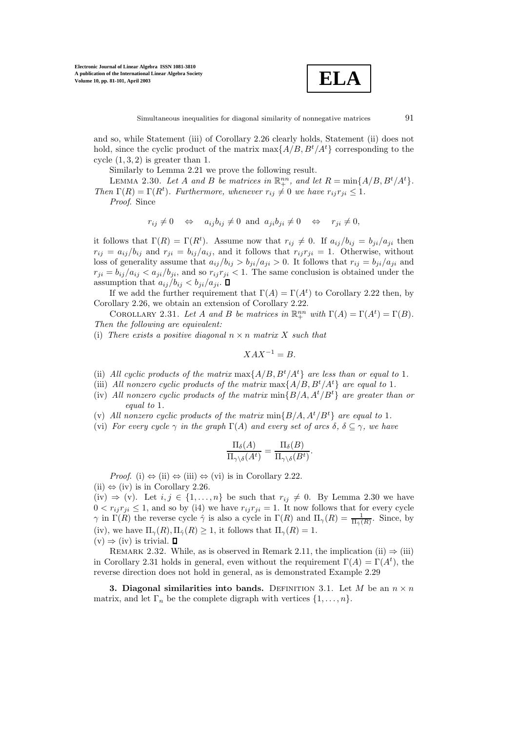

and so, while Statement (iii) of Corollary 2.26 clearly holds, Statement (ii) does not hold, since the cyclic product of the matrix  $\max\{A/B, B^t/A^t\}$  corresponding to the cycle  $(1, 3, 2)$  is greater than 1.

Similarly to Lemma 2.21 we prove the following result.

LEMMA 2.30. Let A and B be matrices in  $\mathbb{R}^{nn}_+$ , and let  $R = \min\{A/B, B^t/A^t\}$ . Then  $\Gamma(R) = \Gamma(R^t)$ . Furthermore, whenever  $r_{ij} \neq 0$  we have  $r_{ij} r_{ji} \leq 1$ .

Proof. Since

$$
r_{ij} \neq 0 \Leftrightarrow a_{ij}b_{ij} \neq 0 \text{ and } a_{ji}b_{ji} \neq 0 \Leftrightarrow r_{ji} \neq 0,
$$

it follows that  $\Gamma(R) = \Gamma(R^t)$ . Assume now that  $r_{ij} \neq 0$ . If  $a_{ij}/b_{ij} = b_{ji}/a_{ji}$  then  $r_{ij} = a_{ij}/b_{ij}$  and  $r_{ji} = b_{ij}/a_{ij}$ , and it follows that  $r_{ij}r_{ji} = 1$ . Otherwise, without loss of generality assume that  $a_{ij}/b_{ij} > b_{ji}/a_{ji} > 0$ . It follows that  $r_{ij} = b_{ji}/a_{ji}$  and  $r_{ji} = b_{ij}/a_{ij} < a_{ji}/b_{ji}$ , and so  $r_{ij}r_{ji} < 1$ . The same conclusion is obtained under the assumption that  $a_{ij}/b_{ij} < b_{ji}/a_{ji}$ .  $\Box$ 

If we add the further requirement that  $\Gamma(A) = \Gamma(A^t)$  to Corollary 2.22 then, by Corollary 2.26, we obtain an extension of Corollary 2.22.

COROLLARY 2.31. Let A and B be matrices in  $\mathbb{R}^{nn}_+$  with  $\Gamma(A) = \Gamma(A^t) = \Gamma(B)$ . Then the following are equivalent:

(i) There exists a positive diagonal  $n \times n$  matrix X such that

$$
XAX^{-1} = B.
$$

- (ii) All cyclic products of the matrix  $\max\{A/B, B^t/A^t\}$  are less than or equal to 1.
- (iii) All nonzero cyclic products of the matrix  $\max\{A/B, B^t/A^t\}$  are equal to 1.
- (iv) All nonzero cyclic products of the matrix  $\min\{B/A, A^t/B^t\}$  are greater than or equal to 1.
- (v) All nonzero cyclic products of the matrix  $\min\{B/A, A^t/B^t\}$  are equal to 1.
- (vi) For every cycle  $\gamma$  in the graph  $\Gamma(A)$  and every set of arcs  $\delta, \delta \subseteq \gamma$ , we have

$$
\frac{\Pi_{\delta}(A)}{\Pi_{\gamma \backslash \delta}(A^t)} = \frac{\Pi_{\delta}(B)}{\Pi_{\gamma \backslash \delta}(B^t)}.
$$

*Proof.* (i)  $\Leftrightarrow$  (ii)  $\Leftrightarrow$  (iii)  $\Leftrightarrow$  (vi) is in Corollary 2.22.

 $(ii) \Leftrightarrow (iv)$  is in Corollary 2.26.

(iv)  $\Rightarrow$  (v). Let  $i, j \in \{1, ..., n\}$  be such that  $r_{ij} \neq 0$ . By Lemma 2.30 we have  $0 < r_{ij}r_{ji} \leq 1$ , and so by (i4) we have  $r_{ij}r_{ji} = 1$ . It now follows that for every cycle  $\gamma$  in  $\Gamma(R)$  the reverse cycle  $\hat{\gamma}$  is also a cycle in  $\Gamma(R)$  and  $\Pi_{\gamma}(R) = \frac{1}{\Pi_{\hat{\gamma}}(R)}$ . Since, by (iv), we have  $\Pi_{\gamma}(R), \Pi_{\hat{\gamma}}(R) \geq 1$ , it follows that  $\Pi_{\gamma}(R) = 1$ .  $(v) \Rightarrow (iv)$  is trivial.  $\Box$ 

REMARK 2.32. While, as is observed in Remark 2.11, the implication (ii)  $\Rightarrow$  (iii) in Corollary 2.31 holds in general, even without the requirement  $\Gamma(A) = \Gamma(A^t)$ , the reverse direction does not hold in general, as is demonstrated Example 2.29

**3. Diagonal similarities into bands.** DEFINITION 3.1. Let M be an  $n \times n$ matrix, and let  $\Gamma_n$  be the complete digraph with vertices  $\{1,\ldots,n\}$ .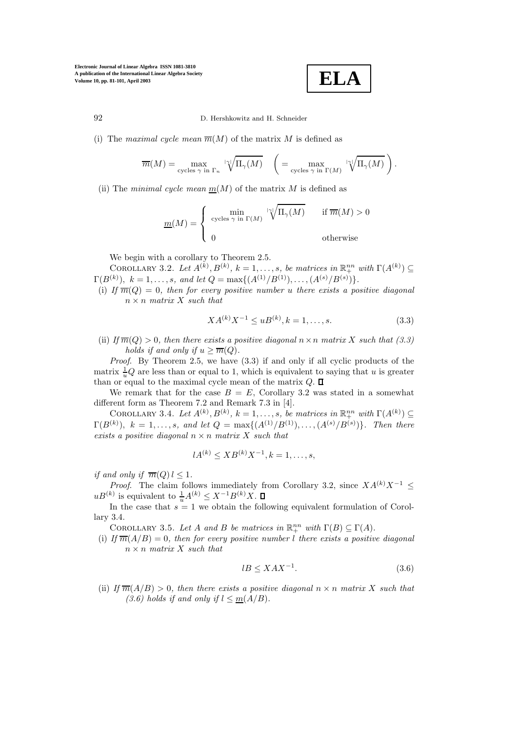**ELA**

(i) The maximal cycle mean  $\overline{m}(M)$  of the matrix M is defined as

$$
\overline{m}(M) = \max_{\text{cycles } \gamma \text{ in } \Gamma_n} \sqrt{\prod_{\gamma} (M)} \quad \left( = \max_{\text{cycles } \gamma \text{ in } \Gamma(M)} \sqrt{\prod_{\gamma} (M)} \right).
$$

(ii) The minimal cycle mean  $m(M)$  of the matrix M is defined as

$$
\underline{m}(M) = \begin{cases} \min_{\text{cycles } \gamma \text{ in } \Gamma(M)} & \text{if } \overline{m}(M) > 0 \\ 0 & \text{otherwise} \end{cases}
$$

We begin with a corollary to Theorem 2.5.

COROLLARY 3.2. Let  $A^{(k)}, B^{(k)}, k = 1, \ldots, s$ , be matrices in  $\mathbb{R}^{nn}_{+}$  with  $\Gamma(A^{(k)}) \subseteq$  $\Gamma(B^{(k)}), k = 1, \ldots, s, \text{ and let } Q = \max\{(A^{(1)}/B^{(1)}), \ldots, (A^{(s)}/B^{(s)})\}.$ 

(i) If  $\overline{m}(Q)=0$ , then for every positive number u there exists a positive diagonal  $n \times n$  matrix X such that

$$
XA^{(k)}X^{-1} \le uB^{(k)}, k = 1, \dots, s.
$$
\n(3.3)

(ii) If  $\overline{m}(Q) > 0$ , then there exists a positive diagonal  $n \times n$  matrix X such that (3.3) holds if and only if  $u \geq \overline{m}(Q)$ .

Proof. By Theorem 2.5, we have  $(3.3)$  if and only if all cyclic products of the matrix  $\frac{1}{u}Q$  are less than or equal to 1, which is equivalent to saying that u is greater than or equal to the maximal cycle mean of the matrix  $Q$ .  $\Box$ 

We remark that for the case  $B = E$ , Corollary 3.2 was stated in a somewhat different form as Theorem 7.2 and Remark 7.3 in [4].

COROLLARY 3.4. Let  $A^{(k)}, B^{(k)}, k = 1, \ldots, s$ , be matrices in  $\mathbb{R}^{nn}_{+}$  with  $\Gamma(A^{(k)}) \subseteq$  $\Gamma(B^{(k)}), k = 1, \ldots, s, \text{ and let } Q = \max\{(A^{(1)}/B^{(1)}), \ldots, (A^{(s)}/B^{(s)})\}.$  Then there exists a positive diagonal  $n \times n$  matrix X such that

$$
lA^{(k)} \leq XB^{(k)}X^{-1}, k = 1, \dots, s,
$$

if and only if  $\overline{m}(Q) l \leq 1$ .

*Proof.* The claim follows immediately from Corollary 3.2, since  $XA^{(k)}X^{-1}$  ≤  $uB^{(k)}$  is equivalent to  $\frac{1}{u}A^{(k)} \leq X^{-1}B^{(k)}X$ .

In the case that  $s = 1$  we obtain the following equivalent formulation of Corollary 3.4.

COROLLARY 3.5. Let A and B be matrices in  $\mathbb{R}^{nn}_{+}$  with  $\Gamma(B) \subseteq \Gamma(A)$ .

(i) If  $\overline{m}(A/B)=0$ , then for every positive number l there exists a positive diagonal  $n \times n$  matrix X such that

$$
lB \le XAX^{-1}.\tag{3.6}
$$

(ii) If  $\overline{m}(A/B) > 0$ , then there exists a positive diagonal  $n \times n$  matrix X such that (3.6) holds if and only if  $l \leq m(A/B)$ .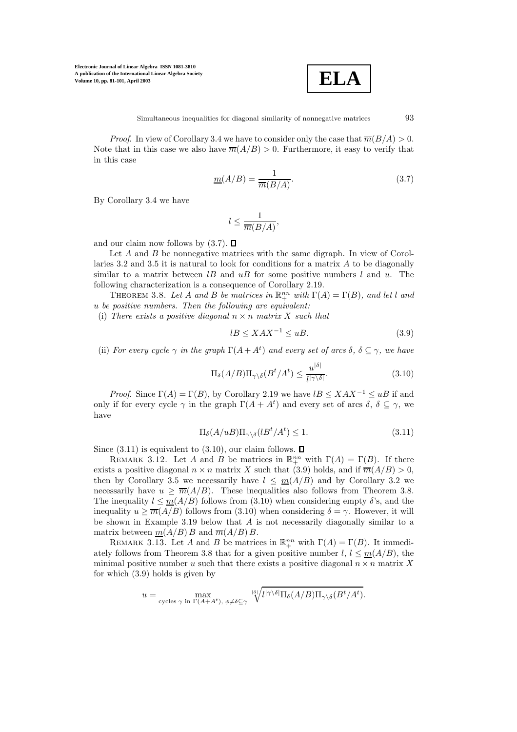

*Proof.* In view of Corollary 3.4 we have to consider only the case that  $\overline{m}(B/A) > 0$ . Note that in this case we also have  $\overline{m}(A/B) > 0$ . Furthermore, it easy to verify that in this case

$$
\underline{m}(A/B) = \frac{1}{\overline{m}(B/A)}.\tag{3.7}
$$

By Corollary 3.4 we have

$$
l\leq \frac{1}{\overline{m}(B/A)},
$$

and our claim now follows by  $(3.7)$ .  $\Box$ 

Let A and B be nonnegative matrices with the same digraph. In view of Corollaries 3.2 and 3.5 it is natural to look for conditions for a matrix  $A$  to be diagonally similar to a matrix between  $l$  and  $u$  and  $u$  for some positive numbers l and u. The following characterization is a consequence of Corollary 2.19.

THEOREM 3.8. Let A and B be matrices in  $\mathbb{R}^{nn}_+$  with  $\Gamma(A) = \Gamma(B)$ , and let l and u be positive numbers. Then the following are equivalent:

(i) There exists a positive diagonal  $n \times n$  matrix X such that

$$
lB \le XAX^{-1} \le uB. \tag{3.9}
$$

(ii) For every cycle  $\gamma$  in the graph  $\Gamma(A+A^t)$  and every set of arcs  $\delta, \delta \subseteq \gamma$ , we have

$$
\Pi_{\delta}(A/B)\Pi_{\gamma\backslash\delta}(B^t/A^t) \le \frac{u^{|\delta|}}{l^{|\gamma\backslash\delta|}}.\tag{3.10}
$$

*Proof.* Since  $\Gamma(A) = \Gamma(B)$ , by Corollary 2.19 we have  $lB \leq XAX^{-1} \leq uB$  if and only if for every cycle  $\gamma$  in the graph  $\Gamma(A + A^t)$  and every set of arcs  $\delta, \delta \subseteq \gamma$ , we have

$$
\Pi_{\delta}(A/uB)\Pi_{\gamma\backslash\delta}(lB^t/A^t) \le 1.
$$
\n(3.11)

Since  $(3.11)$  is equivalent to  $(3.10)$ , our claim follows.  $\Box$ 

REMARK 3.12. Let A and B be matrices in  $\mathbb{R}^{nn}_{+}$  with  $\Gamma(A) = \Gamma(B)$ . If there exists a positive diagonal  $n \times n$  matrix X such that (3.9) holds, and if  $\overline{m}(A/B) > 0$ , then by Corollary 3.5 we necessarily have  $l \leq m(A/B)$  and by Corollary 3.2 we necessarily have  $u > \overline{m}(A/B)$ . These inequalities also follows from Theorem 3.8. The inequality  $l \leq m(A/B)$  follows from (3.10) when considering empty  $\delta$ 's, and the inequality  $u \ge \overline{m}(A/B)$  follows from (3.10) when considering  $\delta = \gamma$ . However, it will be shown in Example 3.19 below that  $A$  is not necessarily diagonally similar to a matrix between  $m(A/B) B$  and  $\overline{m}(A/B) B$ .

REMARK 3.13. Let A and B be matrices in  $\mathbb{R}^{nn}_{+}$  with  $\Gamma(A) = \Gamma(B)$ . It immediately follows from Theorem 3.8 that for a given positive number l,  $l \leq m(A/B)$ , the minimal positive number u such that there exists a positive diagonal  $n \times n$  matrix X for which (3.9) holds is given by

$$
u = \max_{\text{cycles } \gamma \text{ in } \Gamma(A+A^t), \phi \neq \delta \subseteq \gamma} \sqrt[|\delta|]{l^{|\gamma \setminus \delta|} \Pi_{\delta}(A/B) \Pi_{\gamma \setminus \delta}(B^t/A^t)}.
$$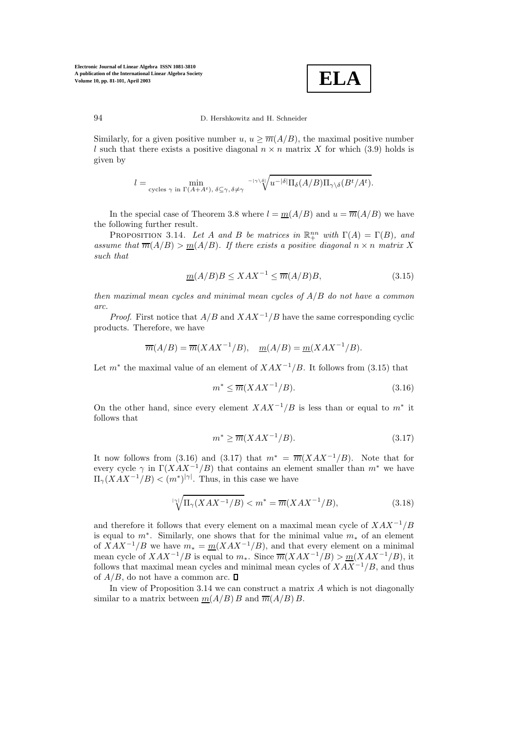

Similarly, for a given positive number  $u, u \geq \overline{m}(A/B)$ , the maximal positive number l such that there exists a positive diagonal  $n \times n$  matrix X for which (3.9) holds is given by

$$
l = \min_{\text{cycles } \gamma \text{ in } \Gamma(A+A^t), \ \delta \subseteq \gamma, \ \delta \neq \gamma} \sqrt{\sqrt{\gamma}} u^{-|\delta|} \Pi_{\delta}(A/B) \Pi_{\gamma \backslash \delta}(B^t/A^t).
$$

In the special case of Theorem 3.8 where  $l = m(A/B)$  and  $u = \overline{m}(A/B)$  we have the following further result.

PROPOSITION 3.14. Let A and B be matrices in  $\mathbb{R}^{nn}_{+}$  with  $\Gamma(A) = \Gamma(B)$ , and assume that  $\overline{m}(A/B) > m(A/B)$ . If there exists a positive diagonal  $n \times n$  matrix X such that

$$
m(A/B)B \le XAX^{-1} \le \overline{m}(A/B)B,\tag{3.15}
$$

then maximal mean cycles and minimal mean cycles of  $A/B$  do not have a common arc.

*Proof.* First notice that  $A/B$  and  $XAX^{-1}/B$  have the same corresponding cyclic products. Therefore, we have

$$
\overline{m}(A/B) = \overline{m}(XAX^{-1}/B), \quad \underline{m}(A/B) = \underline{m}(XAX^{-1}/B).
$$

Let  $m^*$  the maximal value of an element of  $XAX^{-1}/B$ . It follows from (3.15) that

$$
m^* \le \overline{m}(XAX^{-1}/B). \tag{3.16}
$$

On the other hand, since every element  $XAX^{-1}/B$  is less than or equal to  $m^*$  it follows that

$$
m^* \ge \overline{m}(XAX^{-1}/B). \tag{3.17}
$$

It now follows from (3.16) and (3.17) that  $m^* = \overline{m}(XAX^{-1}/B)$ . Note that for every cycle  $\gamma$  in  $\Gamma(XAX^{-1}/B)$  that contains an element smaller than  $m^*$  we have  $\Pi_{\gamma}(XAX^{-1}/B) < (m^*)^{|\gamma|}$ . Thus, in this case we have

$$
\sqrt[n]{\Pi_{\gamma}(XAX^{-1}/B)} < m^* = \overline{m}(XAX^{-1}/B),\tag{3.18}
$$

and therefore it follows that every element on a maximal mean cycle of  $XAX^{-1}/B$ is equal to  $m^*$ . Similarly, one shows that for the minimal value  $m_*$  of an element of  $XAX^{-1}/B$  we have  $m_* = m(XAX^{-1}/B)$ , and that every element on a minimal mean cycle of  $XAX^{-1}/B$  is equal to  $m_*$ . Since  $\overline{m}(XAX^{-1}/B) > \underline{m}(XAX^{-1}/B)$ , it follows that maximal mean cycles and minimal mean cycles of  $XAX^{-1}/B$ , and thus of  $A/B$ , do not have a common arc.  $\square$ 

In view of Proposition 3.14 we can construct a matrix  $A$  which is not diagonally similar to a matrix between  $m(A/B) B$  and  $\overline{m}(A/B) B$ .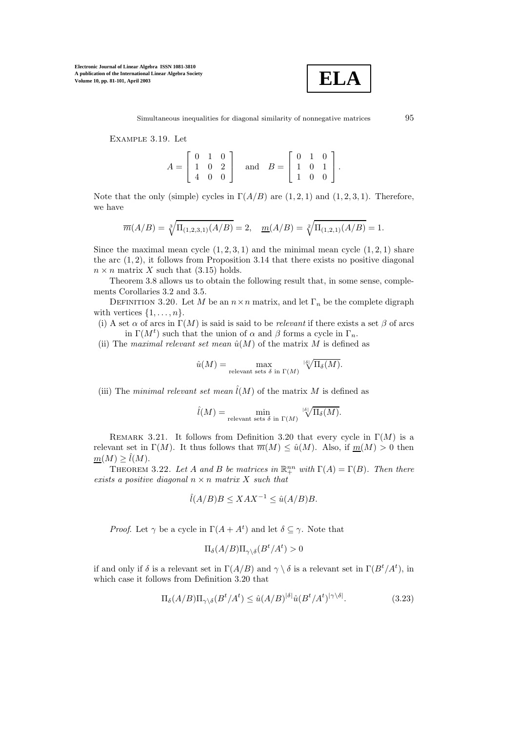

Example 3.19. Let

$$
A = \begin{bmatrix} 0 & 1 & 0 \\ 1 & 0 & 2 \\ 4 & 0 & 0 \end{bmatrix} \text{ and } B = \begin{bmatrix} 0 & 1 & 0 \\ 1 & 0 & 1 \\ 1 & 0 & 0 \end{bmatrix}.
$$

Note that the only (simple) cycles in  $\Gamma(A/B)$  are  $(1, 2, 1)$  and  $(1, 2, 3, 1)$ . Therefore, we have

$$
\overline{m}(A/B) = \sqrt[3]{\Pi_{(1,2,3,1)}(A/B)} = 2, \quad \underline{m}(A/B) = \sqrt[2]{\Pi_{(1,2,1)}(A/B)} = 1.
$$

Since the maximal mean cycle  $(1, 2, 3, 1)$  and the minimal mean cycle  $(1, 2, 1)$  share the arc  $(1, 2)$ , it follows from Proposition 3.14 that there exists no positive diagonal  $n \times n$  matrix X such that (3.15) holds.

Theorem 3.8 allows us to obtain the following result that, in some sense, complements Corollaries 3.2 and 3.5.

DEFINITION 3.20. Let M be an  $n \times n$  matrix, and let  $\Gamma_n$  be the complete digraph with vertices  $\{1,\ldots,n\}$ .

(i) A set  $\alpha$  of arcs in  $\Gamma(M)$  is said is said to be *relevant* if there exists a set  $\beta$  of arcs in  $\Gamma(M^t)$  such that the union of  $\alpha$  and  $\beta$  forms a cycle in  $\Gamma_n$ .

(ii) The maximal relevant set mean  $\hat{u}(M)$  of the matrix M is defined as

$$
\hat{u}(M) = \max_{\text{relevant sets }\delta \text{ in }\Gamma(M)} \sqrt[\delta]{\Pi_{\delta}(M)}.
$$

(iii) The minimal relevant set mean  $\hat{l}(M)$  of the matrix M is defined as

$$
\widehat{l}(M) = \min_{\text{relevant sets }\delta \text{ in }\Gamma(M)} \sqrt[\delta]{\Pi_{\delta}(M)}.
$$

REMARK 3.21. It follows from Definition 3.20 that every cycle in  $\Gamma(M)$  is a relevant set in  $\Gamma(M)$ . It thus follows that  $\overline{m}(M) \leq \hat{u}(M)$ . Also, if  $\underline{m}(M) > 0$  then  $m(M) \geq l(M)$ .

THEOREM 3.22. Let A and B be matrices in  $\mathbb{R}^{nn}_{+}$  with  $\Gamma(A) = \Gamma(B)$ . Then there exists a positive diagonal  $n \times n$  matrix X such that

$$
\hat{l}(A/B)B \le XAX^{-1} \le \hat{u}(A/B)B.
$$

*Proof.* Let  $\gamma$  be a cycle in  $\Gamma(A + A^t)$  and let  $\delta \subseteq \gamma$ . Note that

$$
\Pi_{\delta}(A/B)\Pi_{\gamma\backslash \delta}(B^t/A^t)>0
$$

if and only if  $\delta$  is a relevant set in  $\Gamma(A/B)$  and  $\gamma \setminus \delta$  is a relevant set in  $\Gamma(B^t/A^t)$ , in which case it follows from Definition 3.20 that

$$
\Pi_{\delta}(A/B)\Pi_{\gamma\backslash\delta}(B^t/A^t) \le \hat{u}(A/B)^{|\delta|}\hat{u}(B^t/A^t)^{|\gamma\backslash\delta|}.\tag{3.23}
$$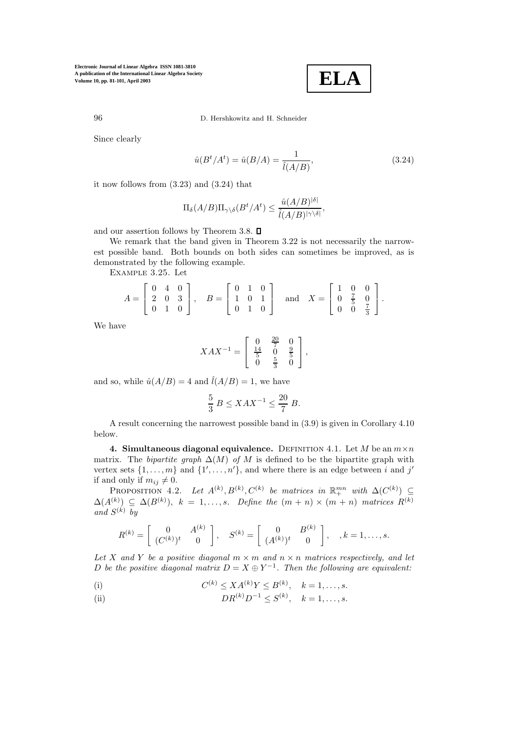**ELA**

96 D. Hershkowitz and H. Schneider

Since clearly

$$
\hat{u}(B^t/A^t) = \hat{u}(B/A) = \frac{1}{\hat{l}(A/B)},
$$
\n(3.24)

it now follows from (3.23) and (3.24) that

$$
\Pi_{\delta}(A/B)\Pi_{\gamma\setminus\delta}(B^t/A^t) \le \frac{\hat{u}(A/B)^{|\delta|}}{\hat{l}(A/B)^{|\gamma\setminus\delta|}},
$$

and our assertion follows by Theorem 3.8.  $\square$ 

We remark that the band given in Theorem 3.22 is not necessarily the narrowest possible band. Both bounds on both sides can sometimes be improved, as is demonstrated by the following example.

Example 3.25. Let

$$
A = \begin{bmatrix} 0 & 4 & 0 \\ 2 & 0 & 3 \\ 0 & 1 & 0 \end{bmatrix}, \quad B = \begin{bmatrix} 0 & 1 & 0 \\ 1 & 0 & 1 \\ 0 & 1 & 0 \end{bmatrix} \quad \text{and} \quad X = \begin{bmatrix} 1 & 0 & 0 \\ 0 & \frac{7}{5} & 0 \\ 0 & 0 & \frac{7}{3} \end{bmatrix}.
$$

We have

$$
XAX^{-1} = \left[ \begin{array}{ccc} 0 & \frac{20}{7} & 0 \\ \frac{14}{5} & 0 & \frac{9}{5} \\ 0 & \frac{5}{3} & 0 \end{array} \right],
$$

and so, while  $\hat{u}(A/B) = 4$  and  $\hat{l}(A/B) = 1$ , we have

$$
\frac{5}{3} B \le XAX^{-1} \le \frac{20}{7} B.
$$

A result concerning the narrowest possible band in (3.9) is given in Corollary 4.10 below.

**4. Simultaneous diagonal equivalence.** DEFINITION 4.1. Let M be an  $m \times n$ matrix. The bipartite graph  $\Delta(M)$  of M is defined to be the bipartite graph with vertex sets  $\{1, \ldots, m\}$  and  $\{1', \ldots, n'\}$ , and where there is an edge between i and j' if and only if  $m_{ij} \neq 0$ .

PROPOSITION 4.2. Let  $A^{(k)}, B^{(k)}, C^{(k)}$  be matrices in  $\mathbb{R}^{mn}_+$  with  $\Delta(C^{(k)}) \subseteq$  $\Delta(A^{(k)}) \subseteq \Delta(B^{(k)}), k = 1, \ldots, s.$  Define the  $(m+n) \times (m+n)$  matrices  $R^{(k)}$ and  $S^{(k)}$  by

$$
R^{(k)} = \left[ \begin{array}{cc} 0 & A^{(k)} \\ (C^{(k)})^t & 0 \end{array} \right], \quad S^{(k)} = \left[ \begin{array}{cc} 0 & B^{(k)} \\ (A^{(k)})^t & 0 \end{array} \right], \quad , k = 1, \ldots, s.
$$

Let X and Y be a positive diagonal  $m \times m$  and  $n \times n$  matrices respectively, and let D be the positive diagonal matrix  $D = X \oplus Y^{-1}$ . Then the following are equivalent:

(i) 
$$
C^{(k)} \le X A^{(k)} Y \le B^{(k)}, \quad k = 1, ..., s.
$$

(ii) 
$$
DR^{(k)}D^{-1} \leq S^{(k)}, \quad k = 1, ..., s.
$$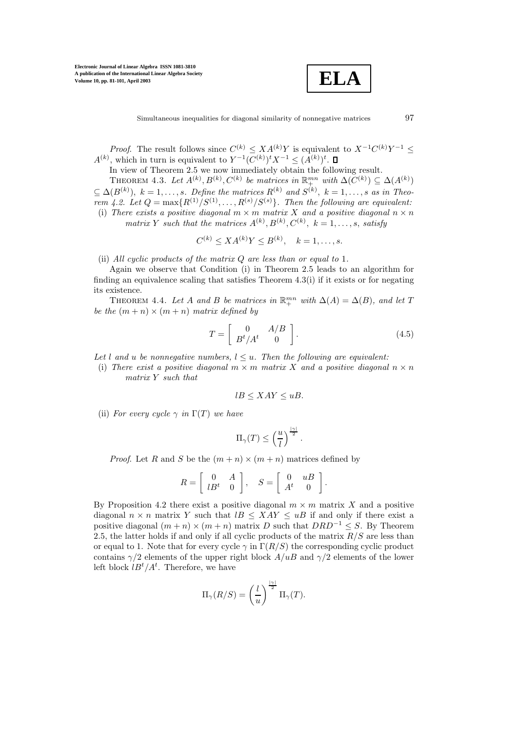**ELA**

Simultaneous inequalities for diagonal similarity of nonnegative matrices 97

*Proof.* The result follows since  $C^{(k)} \n\t\le X A^{(k)} Y$  is equivalent to  $X^{-1} C^{(k)} Y^{-1} \le$  $A^{(k)}$ , which in turn is equivalent to  $Y^{-1}(C^{(k)})^t X^{-1} \leq (A^{(k)})^t$ .

In view of Theorem 2.5 we now immediately obtain the following result.

THEOREM 4.3. Let  $A^{(k)}, B^{(k)}, C^{(k)}$  be matrices in  $\mathbb{R}^{mn}_+$  with  $\Delta(C^{(k)}) \subseteq \Delta(A^{(k)})$  $\subseteq \Delta(B^{(k)}), k = 1, \ldots, s.$  Define the matrices  $R^{(k)}$  and  $S^{(k)}$ ,  $k = 1, \ldots, s$  as in Theorem 4.2. Let  $Q = \max\{R^{(1)}/S^{(1)}, \ldots, R^{(s)}/S^{(s)}\}$ . Then the following are equivalent: (i) There exists a positive diagonal  $m \times m$  matrix X and a positive diagonal  $n \times n$ matrix Y such that the matrices  $A^{(k)}, B^{(k)}, C^{(k)}, k = 1, \ldots, s$ , satisfy

$$
C^{(k)} \le X A^{(k)} Y \le B^{(k)}, \quad k = 1, \dots, s.
$$

(ii) All cyclic products of the matrix  $Q$  are less than or equal to 1.

Again we observe that Condition (i) in Theorem 2.5 leads to an algorithm for finding an equivalence scaling that satisfies Theorem 4.3(i) if it exists or for negating its existence.

THEOREM 4.4. Let A and B be matrices in  $\mathbb{R}^{mn}_+$  with  $\Delta(A) = \Delta(B)$ , and let T be the  $(m+n) \times (m+n)$  matrix defined by

$$
T = \left[ \begin{array}{cc} 0 & A/B \\ B^t/A^t & 0 \end{array} \right].
$$
 (4.5)

Let l and u be nonnegative numbers,  $l \leq u$ . Then the following are equivalent:

(i) There exist a positive diagonal  $m \times m$  matrix X and a positive diagonal  $n \times n$ matrix Y such that

$$
lB \leq XAY \leq uB.
$$

(ii) For every cycle  $\gamma$  in  $\Gamma(T)$  we have

$$
\Pi_\gamma(T)\leq \left(\frac{u}{l}\right)^{\frac{|\gamma|}{2}}.
$$

*Proof.* Let R and S be the  $(m+n) \times (m+n)$  matrices defined by

$$
R = \left[ \begin{array}{cc} 0 & A \\ lB^t & 0 \end{array} \right], \quad S = \left[ \begin{array}{cc} 0 & uB \\ A^t & 0 \end{array} \right].
$$

By Proposition 4.2 there exist a positive diagonal  $m \times m$  matrix X and a positive diagonal  $n \times n$  matrix Y such that  $lB \leq XAY \leq uB$  if and only if there exist a positive diagonal  $(m + n) \times (m + n)$  matrix D such that  $DRD^{-1} \leq S$ . By Theorem 2.5, the latter holds if and only if all cyclic products of the matrix  $R/S$  are less than or equal to 1. Note that for every cycle  $\gamma$  in  $\Gamma(R/S)$  the corresponding cyclic product contains  $\gamma/2$  elements of the upper right block  $A/uB$  and  $\gamma/2$  elements of the lower left block  $lB^t/A^t$ . Therefore, we have

$$
\Pi_{\gamma}(R/S) = \left(\frac{l}{u}\right)^{\frac{|\gamma|}{2}} \Pi_{\gamma}(T).
$$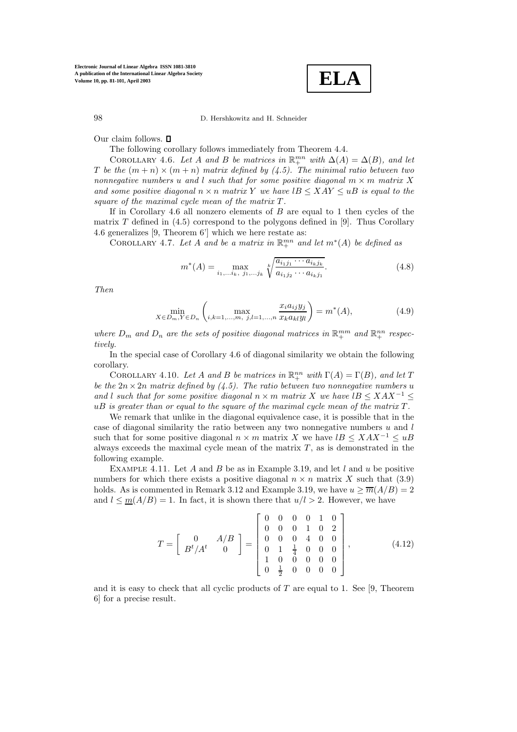**ELA**

Our claim follows.  $\square$ 

The following corollary follows immediately from Theorem 4.4.

COROLLARY 4.6. Let A and B be matrices in  $\mathbb{R}^{mn}_+$  with  $\Delta(A) = \Delta(B)$ , and let T be the  $(m+n) \times (m+n)$  matrix defined by (4.5). The minimal ratio between two nonnegative numbers u and l such that for some positive diagonal  $m \times m$  matrix X and some positive diagonal  $n \times n$  matrix Y we have  $lB \leq XAY \leq uB$  is equal to the square of the maximal cycle mean of the matrix  $T$ .

If in Corollary 4.6 all nonzero elements of  $B$  are equal to 1 then cycles of the matrix  $T$  defined in (4.5) correspond to the polygons defined in [9]. Thus Corollary 4.6 generalizes [9, Theorem 6'] which we here restate as:

COROLLARY 4.7. Let A and be a matrix in  $\mathbb{R}^{mn}_+$  and let  $m^*(A)$  be defined as

$$
m^*(A) = \max_{i_1,\dots,i_k,\ j_1,\dots,j_k} \sqrt[k]{\frac{a_{i_1j_1}\cdots a_{i_kj_k}}{a_{i_1j_2}\cdots a_{i_kj_1}}}.
$$
\n(4.8)

Then

$$
\min_{X \in D_m, Y \in D_n} \left( \max_{i,k=1,\dots,m, j,l=1,\dots,n} \frac{x_i a_{ij} y_j}{x_k a_{kl} y_l} \right) = m^*(A),\tag{4.9}
$$

where  $D_m$  and  $D_n$  are the sets of positive diagonal matrices in  $\mathbb{R}^{mm}_+$  and  $\mathbb{R}^{nn}_+$  respectively.

In the special case of Corollary 4.6 of diagonal similarity we obtain the following corollary.

COROLLARY 4.10. Let A and B be matrices in  $\mathbb{R}^{nn}_{+}$  with  $\Gamma(A) = \Gamma(B)$ , and let T be the  $2n \times 2n$  matrix defined by (4.5). The ratio between two nonnegative numbers u and l such that for some positive diagonal  $n \times m$  matrix X we have  $lB \leq XAX^{-1} \leq$  $uB$  is greater than or equal to the square of the maximal cycle mean of the matrix  $T$ .

We remark that unlike in the diagonal equivalence case, it is possible that in the case of diagonal similarity the ratio between any two nonnegative numbers  $u$  and  $l$ such that for some positive diagonal  $n \times m$  matrix X we have  $lB \leq XAX^{-1} \leq uB$ always exceeds the maximal cycle mean of the matrix  $T$ , as is demonstrated in the following example.

EXAMPLE 4.11. Let A and B be as in Example 3.19, and let  $l$  and  $u$  be positive numbers for which there exists a positive diagonal  $n \times n$  matrix X such that (3.9) holds. As is commented in Remark 3.12 and Example 3.19, we have  $u \ge \overline{m}(A/B)=2$ and  $l \leq m(A/B) = 1$ . In fact, it is shown there that  $u/l > 2$ . However, we have

$$
T = \begin{bmatrix} 0 & A/B \\ B^t/A^t & 0 \end{bmatrix} = \begin{bmatrix} 0 & 0 & 0 & 0 & 1 & 0 \\ 0 & 0 & 0 & 1 & 0 & 2 \\ 0 & 0 & 0 & 4 & 0 & 0 \\ 0 & 1 & \frac{1}{4} & 0 & 0 & 0 \\ 1 & 0 & 0 & 0 & 0 & 0 \\ 0 & \frac{1}{2} & 0 & 0 & 0 & 0 \end{bmatrix},
$$
(4.12)

and it is easy to check that all cyclic products of  $T$  are equal to 1. See [9, Theorem 6] for a precise result.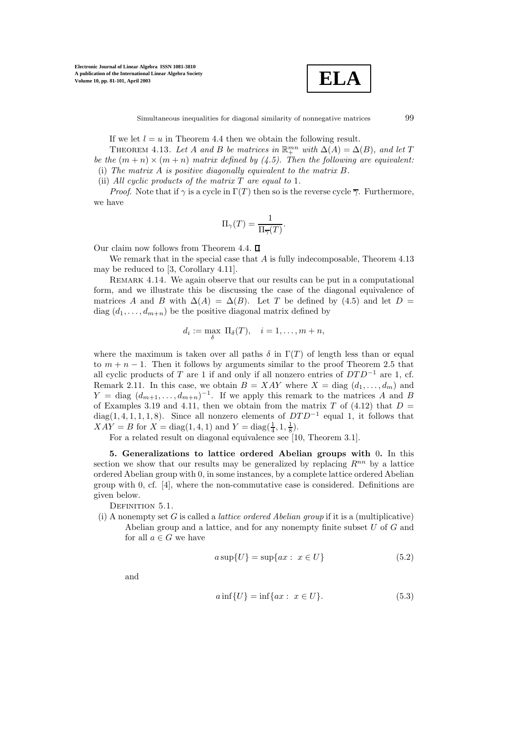

Simultaneous inequalities for diagonal similarity of nonnegative matrices 99

If we let  $l = u$  in Theorem 4.4 then we obtain the following result.

THEOREM 4.13. Let A and B be matrices in  $\mathbb{R}^{mn}_+$  with  $\Delta(A) = \Delta(B)$ , and let T be the  $(m+n) \times (m+n)$  matrix defined by (4.5). Then the following are equivalent: (i) The matrix A is positive diagonally equivalent to the matrix B.

(ii) All cyclic products of the matrix  $T$  are equal to 1.

*Proof.* Note that if  $\gamma$  is a cycle in  $\Gamma(T)$  then so is the reverse cycle  $\overline{\gamma}$ . Furthermore, we have

$$
\Pi_\gamma(T)=\frac{1}{\Pi_{\overline{\gamma}}(T)}.
$$

Our claim now follows from Theorem 4.4.  $\square$ 

We remark that in the special case that  $A$  is fully indecomposable, Theorem 4.13 may be reduced to [3, Corollary 4.11].

REMARK 4.14. We again observe that our results can be put in a computational form, and we illustrate this be discussing the case of the diagonal equivalence of matrices A and B with  $\Delta(A) = \Delta(B)$ . Let T be defined by (4.5) and let D = diag  $(d_1, \ldots, d_{m+n})$  be the positive diagonal matrix defined by

$$
d_i := \max_{\delta} \ \Pi_{\delta}(T), \quad i = 1, \dots, m+n,
$$

where the maximum is taken over all paths  $\delta$  in  $\Gamma(T)$  of length less than or equal to  $m + n - 1$ . Then it follows by arguments similar to the proof Theorem 2.5 that all cyclic products of T are 1 if and only if all nonzero entries of  $DTD^{-1}$  are 1, cf. Remark 2.11. In this case, we obtain  $B = XAY$  where  $X = \text{diag}(d_1, \ldots, d_m)$  and  $Y = \text{diag}(d_{m+1}, \ldots, d_{m+n})^{-1}$ . If we apply this remark to the matrices A and B of Examples 3.19 and 4.11, then we obtain from the matrix T of (4.12) that  $D =$ diag(1, 4, 1, 1, 1, 8). Since all nonzero elements of  $DTD^{-1}$  equal 1, it follows that  $XAY = B$  for  $X = diag(1, 4, 1)$  and  $Y = diag(\frac{1}{4}, 1, \frac{1}{8})$ .

For a related result on diagonal equivalence see [10, Theorem 3.1].

**5. Generalizations to lattice ordered Abelian groups with** 0**.** In this section we show that our results may be generalized by replacing  $R^{nn}$  by a lattice ordered Abelian group with 0, in some instances, by a complete lattice ordered Abelian group with 0, cf. [4], where the non-commutative case is considered. Definitions are given below.

DEFINITION 5.1.

(i) A nonempty set G is called a *lattice ordered Abelian group* if it is a (multiplicative) Abelian group and a lattice, and for any nonempty finite subset  $U$  of  $G$  and for all  $a \in G$  we have

$$
a\sup\{U\} = \sup\{ax : x \in U\}
$$
\n
$$
(5.2)
$$

and

$$
a\inf\{U\} = \inf\{ax : x \in U\}.
$$
 (5.3)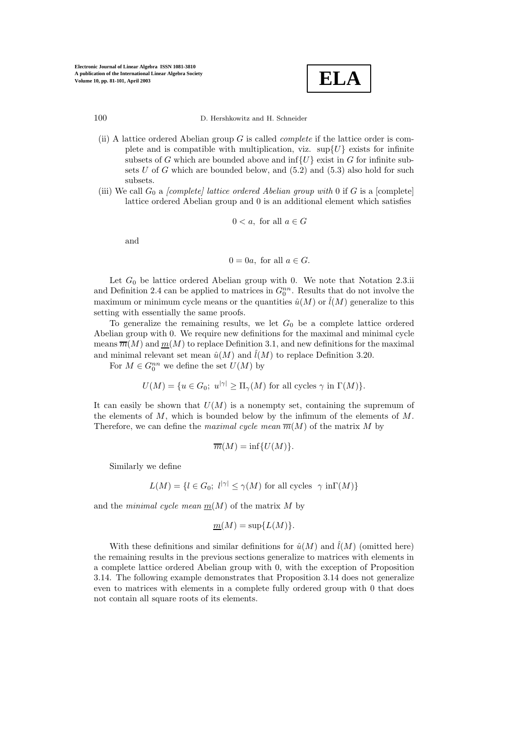

- (ii) A lattice ordered Abelian group  $G$  is called *complete* if the lattice order is complete and is compatible with multiplication, viz.  $\sup\{U\}$  exists for infinite subsets of G which are bounded above and  $\inf\{U\}$  exist in G for infinite subsets  $U$  of  $G$  which are bounded below, and  $(5.2)$  and  $(5.3)$  also hold for such subsets.
- (iii) We call  $G_0$  a *[complete] lattice ordered Abelian group with* 0 if G is a [complete] lattice ordered Abelian group and 0 is an additional element which satisfies

$$
0 < a, \text{ for all } a \in G
$$

and

$$
0 = 0a, \text{ for all } a \in G.
$$

Let  $G_0$  be lattice ordered Abelian group with 0. We note that Notation 2.3.ii and Definition 2.4 can be applied to matrices in  $G_0^{nn}$ . Results that do not involve the maximum or minimum cycle means or the quantities  $\hat{u}(M)$  or  $\hat{l}(M)$  generalize to this setting with essentially the same proofs.

To generalize the remaining results, we let  $G_0$  be a complete lattice ordered Abelian group with 0. We require new definitions for the maximal and minimal cycle means  $\overline{m}(M)$  and  $\underline{m}(M)$  to replace Definition 3.1, and new definitions for the maximal and minimal relevant set mean  $\hat{u}(M)$  and  $\hat{l}(M)$  to replace Definition 3.20.

For  $M \in G_0^{nn}$  we define the set  $U(M)$  by

 $U(M) = \{u \in G_0; u^{|\gamma|} > \Pi_{\gamma}(M) \text{ for all cycles } \gamma \text{ in } \Gamma(M)\}.$ 

It can easily be shown that  $U(M)$  is a nonempty set, containing the supremum of the elements of  $M$ , which is bounded below by the infimum of the elements of  $M$ . Therefore, we can define the *maximal cycle mean*  $\overline{m}(M)$  of the matrix M by

$$
\overline{m}(M) = \inf \{ U(M) \}.
$$

Similarly we define

$$
L(M) = \{ l \in G_0; \ l^{|\gamma|} \le \gamma(M) \text{ for all cycles } \gamma \text{ in } \Gamma(M) \}
$$

and the minimal cycle mean  $m(M)$  of the matrix M by

$$
\underline{m}(M) = \sup \{ L(M) \}.
$$

With these definitions and similar definitions for  $\hat{u}(M)$  and  $\hat{l}(M)$  (omitted here) the remaining results in the previous sections generalize to matrices with elements in a complete lattice ordered Abelian group with 0, with the exception of Proposition 3.14. The following example demonstrates that Proposition 3.14 does not generalize even to matrices with elements in a complete fully ordered group with 0 that does not contain all square roots of its elements.